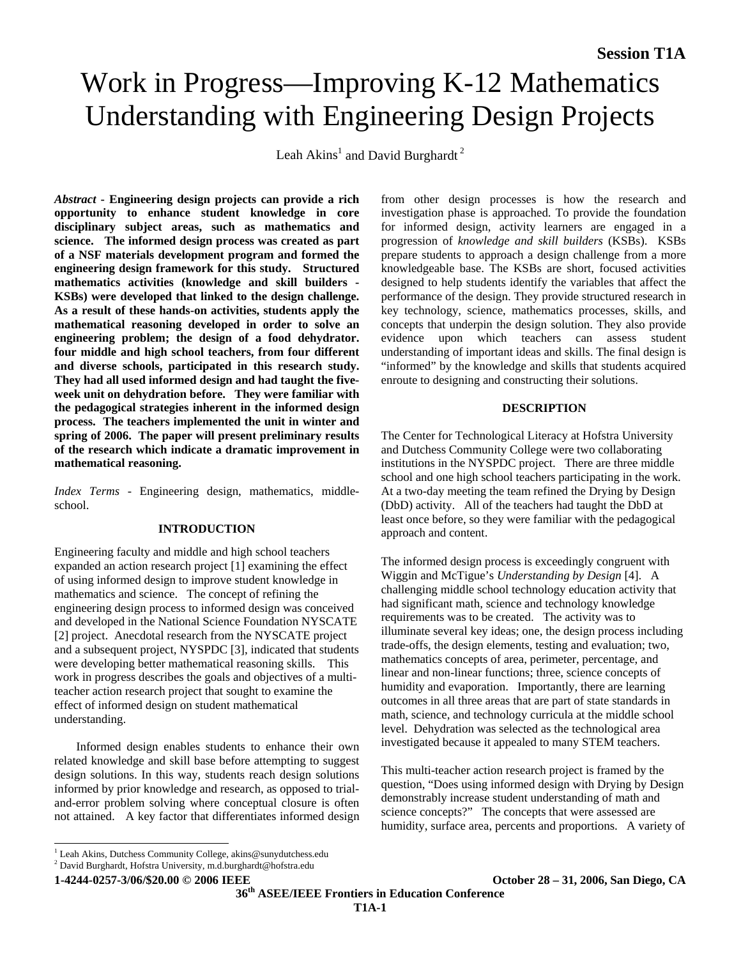# Work in Progress—Improving K-12 Mathematics Understanding with Engineering Design Projects

Leah Akins<sup>1</sup> and David Burghardt<sup>2</sup>

*Abstract* **- Engineering design projects can provide a rich opportunity to enhance student knowledge in core disciplinary subject areas, such as mathematics and science. The informed design process was created as part of a NSF materials development program and formed the engineering design framework for this study. Structured mathematics activities (knowledge and skill builders - KSBs) were developed that linked to the design challenge. As a result of these hands-on activities, students apply the mathematical reasoning developed in order to solve an engineering problem; the design of a food dehydrator. four middle and high school teachers, from four different and diverse schools, participated in this research study. They had all used informed design and had taught the fiveweek unit on dehydration before. They were familiar with the pedagogical strategies inherent in the informed design process. The teachers implemented the unit in winter and spring of 2006. The paper will present preliminary results of the research which indicate a dramatic improvement in mathematical reasoning.** 

*Index Terms* - Engineering design, mathematics, middleschool.

# **INTRODUCTION**

Engineering faculty and middle and high school teachers expanded an action research project [1] examining the effect of using informed design to improve student knowledge in mathematics and science. The concept of refining the engineering design process to informed design was conceived and developed in the National Science Foundation NYSCATE [2] project. Anecdotal research from the NYSCATE project and a subsequent project, NYSPDC [3], indicated that students were developing better mathematical reasoning skills. This work in progress describes the goals and objectives of a multiteacher action research project that sought to examine the effect of informed design on student mathematical understanding.

Informed design enables students to enhance their own related knowledge and skill base before attempting to suggest design solutions. In this way, students reach design solutions informed by prior knowledge and research, as opposed to trialand-error problem solving where conceptual closure is often not attained. A key factor that differentiates informed design from other design processes is how the research and investigation phase is approached. To provide the foundation for informed design, activity learners are engaged in a progression of *knowledge and skill builders* (KSBs). KSBs prepare students to approach a design challenge from a more knowledgeable base. The KSBs are short, focused activities designed to help students identify the variables that affect the performance of the design. They provide structured research in key technology, science, mathematics processes, skills, and concepts that underpin the design solution. They also provide evidence upon which teachers can assess student understanding of important ideas and skills. The final design is "informed" by the knowledge and skills that students acquired enroute to designing and constructing their solutions.

### **DESCRIPTION**

The Center for Technological Literacy at Hofstra University and Dutchess Community College were two collaborating institutions in the NYSPDC project. There are three middle school and one high school teachers participating in the work. At a two-day meeting the team refined the Drying by Design (DbD) activity. All of the teachers had taught the DbD at least once before, so they were familiar with the pedagogical approach and content.

The informed design process is exceedingly congruent with Wiggin and McTigue's *Understanding by Design* [4]. A challenging middle school technology education activity that had significant math, science and technology knowledge requirements was to be created. The activity was to illuminate several key ideas; one, the design process including trade-offs, the design elements, testing and evaluation; two, mathematics concepts of area, perimeter, percentage, and linear and non-linear functions; three, science concepts of humidity and evaporation. Importantly, there are learning outcomes in all three areas that are part of state standards in math, science, and technology curricula at the middle school level. Dehydration was selected as the technological area investigated because it appealed to many STEM teachers.

This multi-teacher action research project is framed by the question, "Does using informed design with Drying by Design demonstrably increase student understanding of math and science concepts?" The concepts that were assessed are humidity, surface area, percents and proportions. A variety of

 $\overline{a}$ 

**36th ASEE/IEEE Frontiers in Education Conference** 

<sup>&</sup>lt;sup>1</sup> Leah Akins, Dutchess Community College, akins@sunydutchess.edu

<sup>2</sup> David Burghardt, Hofstra University, m.d.burghardt@hofstra.edu

**<sup>1-4244-0257-3/06/\$20.00 © 2006</sup> IEEE October 28 – 31, 2006, San Diego, CA**